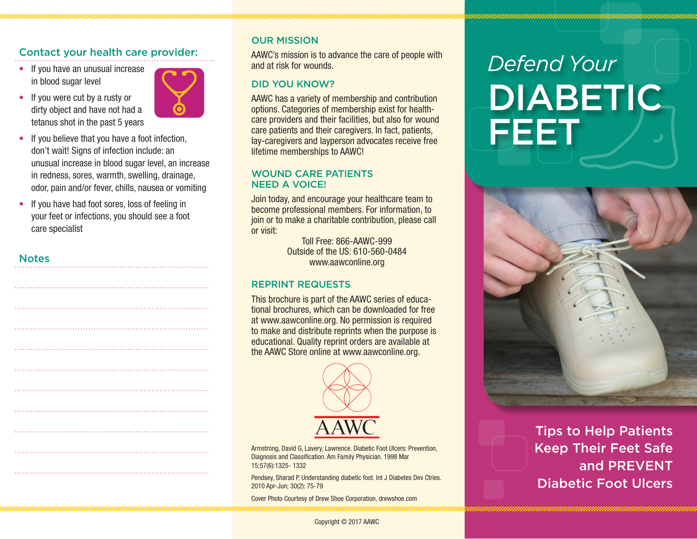# Contact your health care provider:

- If you have an unusual increase in blood sugar level
- If you were cut by a rusty or dirty object and have not had a tetanus shot in the past 5 years



- If you believe that you have a foot infection, don't wait! Signs of infection include: an unusual increase in blood sugar level, an increase in redness, sores, warmth, swelling, drainage, odor, pain and/or fever, chills, nausea or vomiting
- If you have had foot sores, loss of feeling in your feet or infections, you should see a foot care specialist

### **Notes**

### OUR MISSION

AAWC's mission is to advance the care of people with and at risk for wounds.

### DID YOU KNOW?

AAWC has a variety of membership and contribution options. Categories of membership exist for healthcare providers and their facilities, but also for wound care patients and their caregivers. In fact, patients, lay-caregivers and layperson advocates receive free lifetime memberships to AAWC!

#### WOUND CARE PATIENTS NEED A VOICE!

Join today, and encourage your healthcare team to become professional members. For information, to join or to make a charitable contribution, please call or visit:

> Toll Free: 866-AAWC-999 Outside of the US: 610-560-0484 www.aawconline.org

### REPRINT REQUESTS

This brochure is part of the AAWC series of educational brochures, which can be downloaded for free at www.aawconline.org. No permission is required to make and distribute reprints when the purpose is educational. Quality reprint orders are available at the AAWC Store online at www.aawconline.org.



Armstrong, David G, Lavery, Lawrence. Diabetic Foot Ulcers: Prevention, Diagnosis and Classification. Am Family Physician. 1998 Mar 15;57(6):1325- 1332

Pendsey, Sharad P. Understanding diabetic foot. Int J Diabetes Dev Ctries. 2010 Apr-Jun; 30(2): 75-79

Cover Photo Courtesy of Drew Shoe Corporation, drewshoe.com

# *Defend Your* DIABETIC FEET



Tips to Help Patients Keep Their Feet Safe and PREVENT Diabetic Foot Ulcers

Copyright © 2017 AAWC